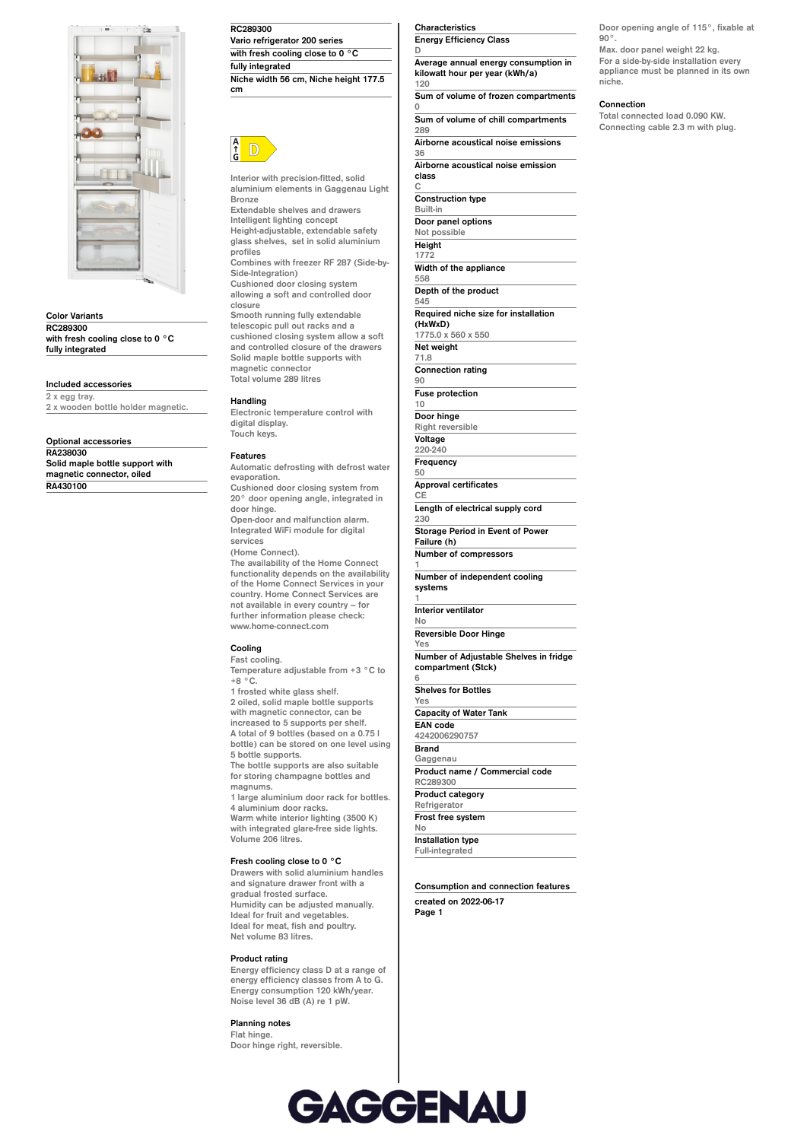

**Color Variants RC289300 with fresh cooling close to 0 °C fully integrated**

**Included accessories**

**2 x egg tray. 2 x wooden bottle holder magnetic.**

**Optional accessories**

**RA238030 Solid maple bottle support with magnetic connector, oiled RA430100**

**RC289300 Vario refrigerator 200 series with fresh cooling close to 0 °C fully integrated Niche width 56 cm, Niche height 177.5**



**cm**

**Interior with precision-fitted, solid aluminium elements in Gaggenau Light Bronze**

**Extendable shelves and drawers Intelligent lighting concept Height-adjustable, extendable safety glass shelves, set in solid aluminium profiles Combines with freezer RF 287 (Side-by-**

**Side-Integration) Cushioned door closing system allowing a soft and controlled door closure**

**Smooth running fully extendable telescopic pull out racks and a cushioned closing system allow a soft and controlled closure of the drawers Solid maple bottle supports with magnetic connector Total volume 289 litres**

**Handling**

**Electronic temperature control with digital display. Touch keys.**

### **Features**

**Automatic defrosting with defrost water evaporation. Cushioned door closing system from 20° door opening angle, integrated in door hinge. Open-door and malfunction alarm. Integrated WiFi module for digital services (Home Connect). The availability of the Home Connect functionality depends on the availability of the Home Connect Services in your country. Home Connect Services are**

**not available in every country – for further information please check: www.home-connect.com**

# **Cooling**

**Fast cooling. Temperature adjustable from +3 °C to +8 °C.**

**1 frosted white glass shelf. 2 oiled, solid maple bottle supports with magnetic connector, can be increased to 5 supports per shelf. A total of 9 bottles (based on a 0.75 l bottle) can be stored on one level using**

**5 bottle supports. The bottle supports are also suitable for storing champagne bottles and magnums.**

**1 large aluminium door rack for bottles. 4 aluminium door racks. Warm white interior lighting (3500 K) with integrated glare-free side lights. Volume 206 litres.**

#### **Fresh cooling close to 0 °C**

**Drawers with solid aluminium handles and signature drawer front with a gradual frosted surface. Humidity can be adjusted manually. Ideal for fruit and vegetables. Ideal for meat, fish and poultry. Net volume 83 litres.**

## **Product rating**

**Energy efficiency class D at a range of energy efficiency classes from A to G. Energy consumption 120 kWh/year. Noise level 36 dB (A) re 1 pW.**

**Planning notes Flat hinge.**

**Door hinge right, reversible.**

**Characteristics Energy Efficiency Class**

**C**

**90**

**10**

**50**

**CE**

**1**

**1**

**6**

**No**

**D Average annual energy consumption in kilowatt hour per year (kWh/a) 120**

**Sum of volume of frozen compartments 0 Sum of volume of chill compartments**

**289 Airborne acoustical noise emissions 36**

**Airborne acoustical noise emission class**

**Construction type Built-in Door panel options Not possible Height 1772 Width of the appliance 558 Depth of the product 545 Required niche size for installation (HxWxD) 1775.0 x 560 x 550 Net weight 71.8 Connection rating Fuse protection Door hinge Right reversible Voltage 220-240 Frequency Approval certificates Length of electrical supply cord 230 Storage Period in Event of Power Failure (h) Number of compressors Number of independent cooling systems Interior ventilator No Reversible Door Hinge Yes Number of Adjustable Shelves in fridge compartment (Stck) Shelves for Bottles Yes Capacity of Water Tank EAN code 4242006290757 Brand Gaggenau Product name / Commercial code RC289300 Product category Refrigerator Frost free system Installation type Full-integrated**

**Consumption and connection features created on 2022-06-17 Page 1**

**Door opening angle of 115°, fixable at 90°.**

**Max. door panel weight 22 kg. For a side-by-side installation every appliance must be planned in its own niche.**

#### **Connection**

**Total connected load 0.090 KW. Connecting cable 2.3 m with plug.**